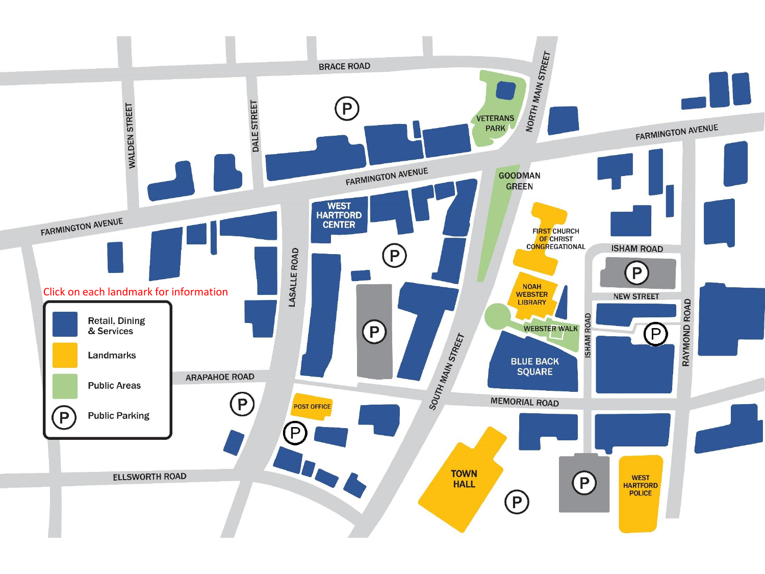<span id="page-0-0"></span>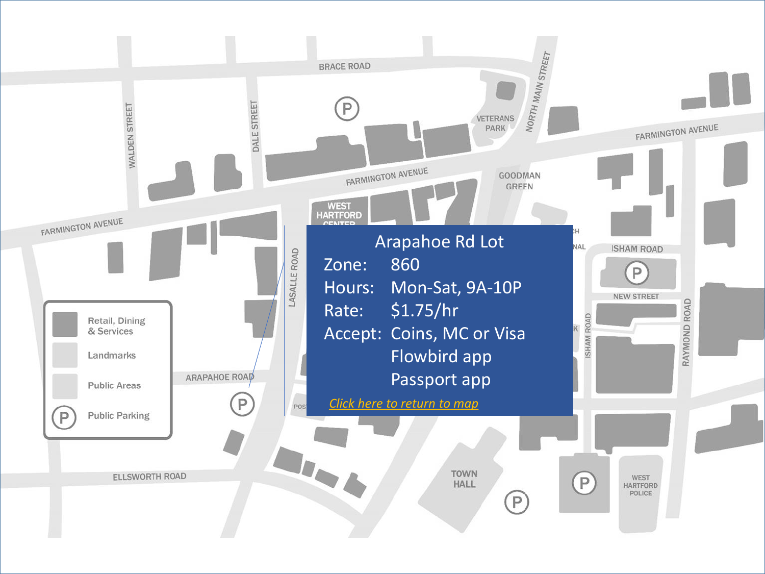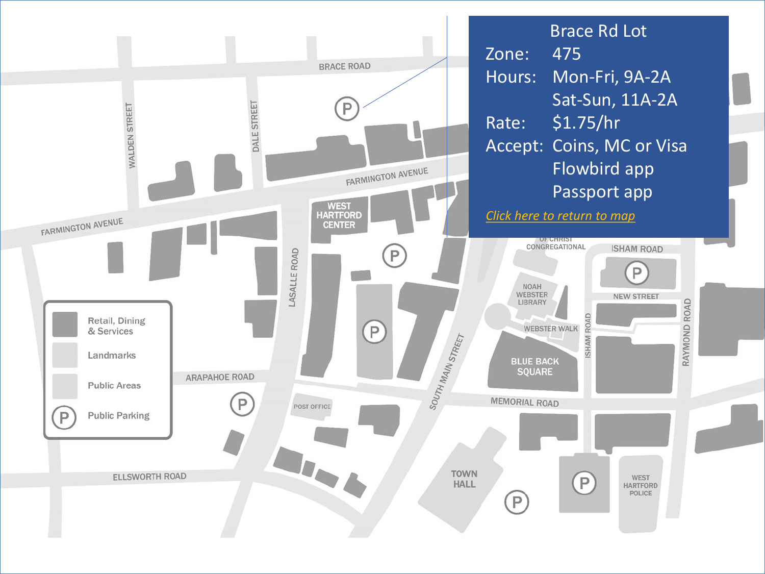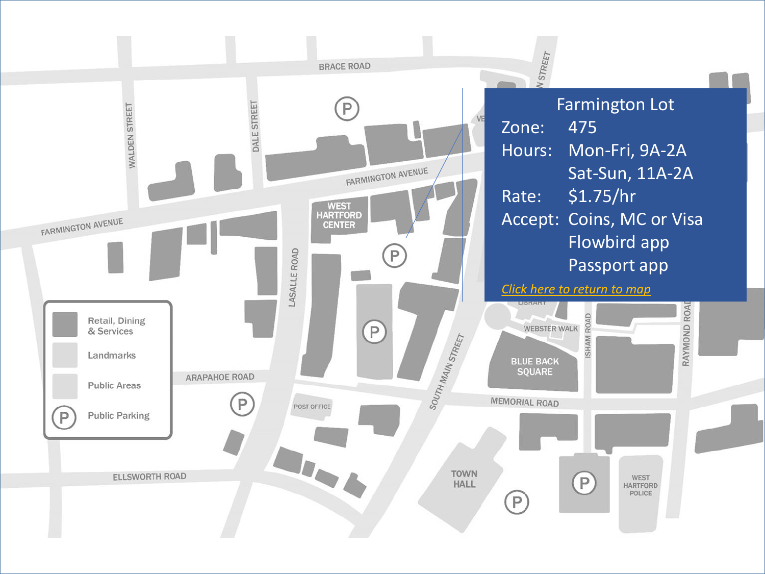<span id="page-3-0"></span>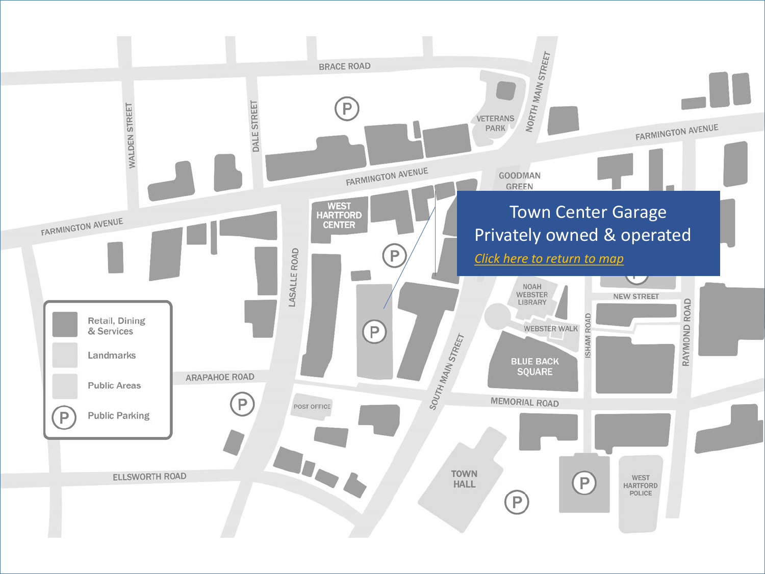<span id="page-4-0"></span>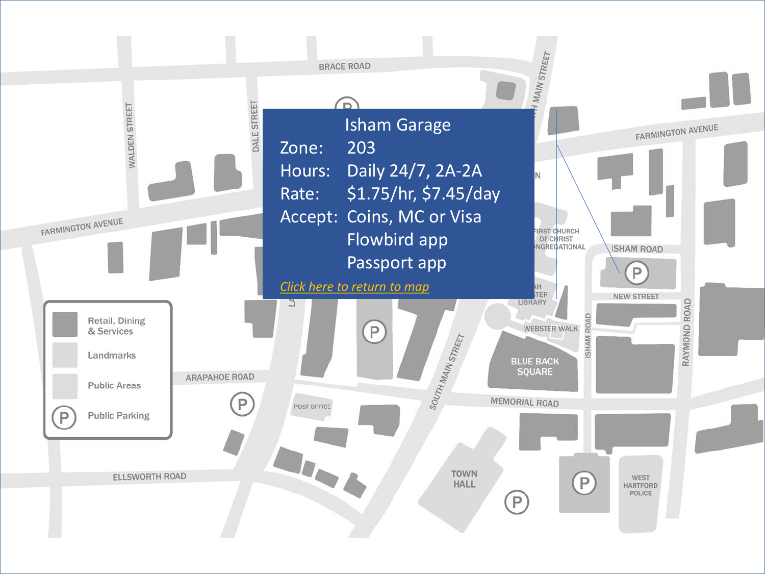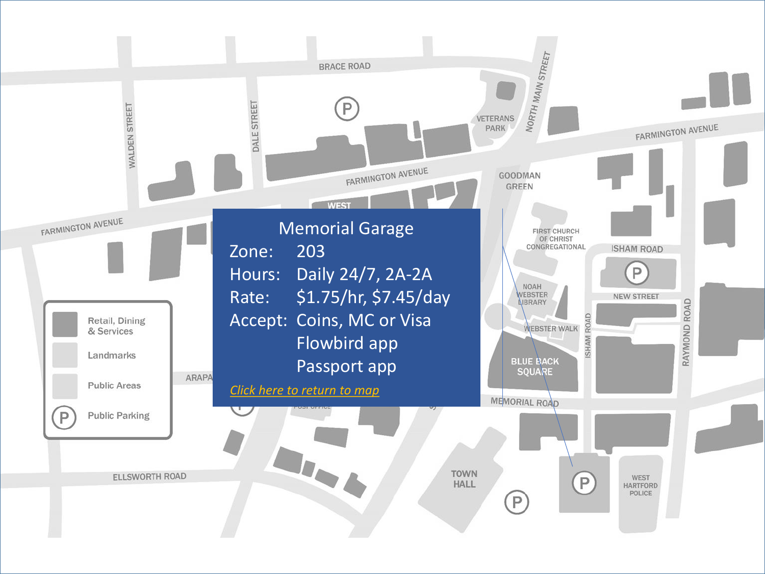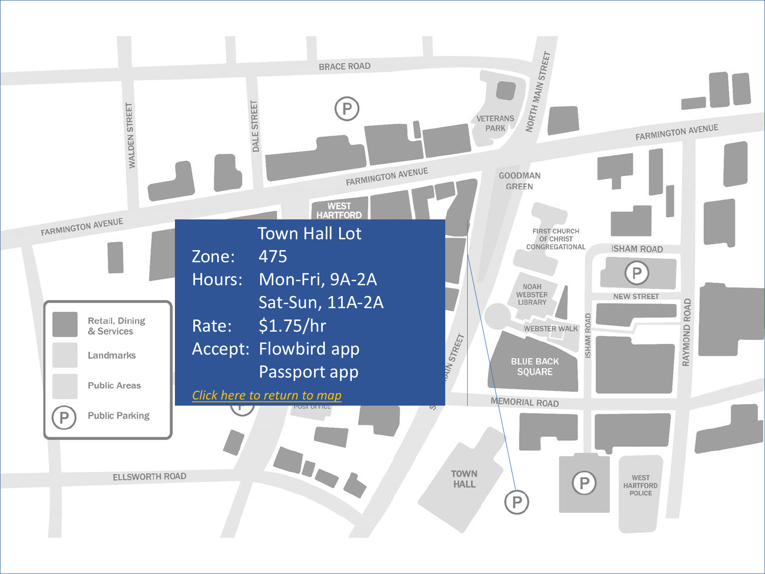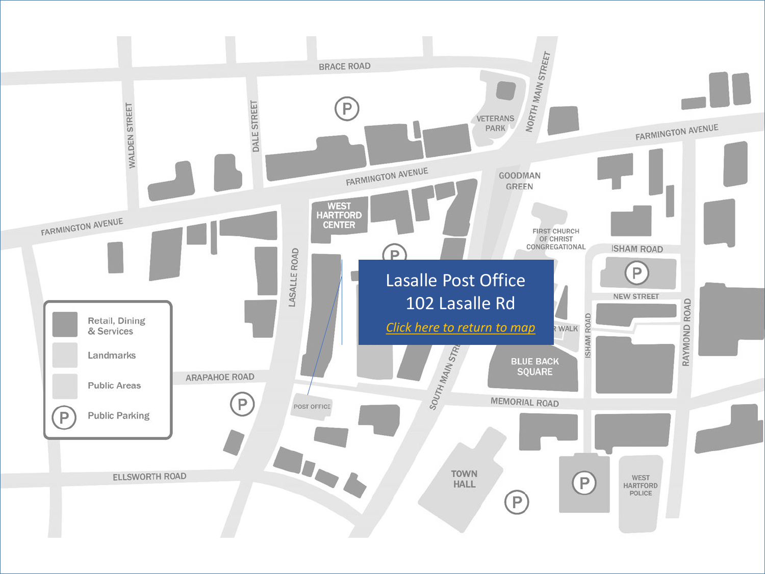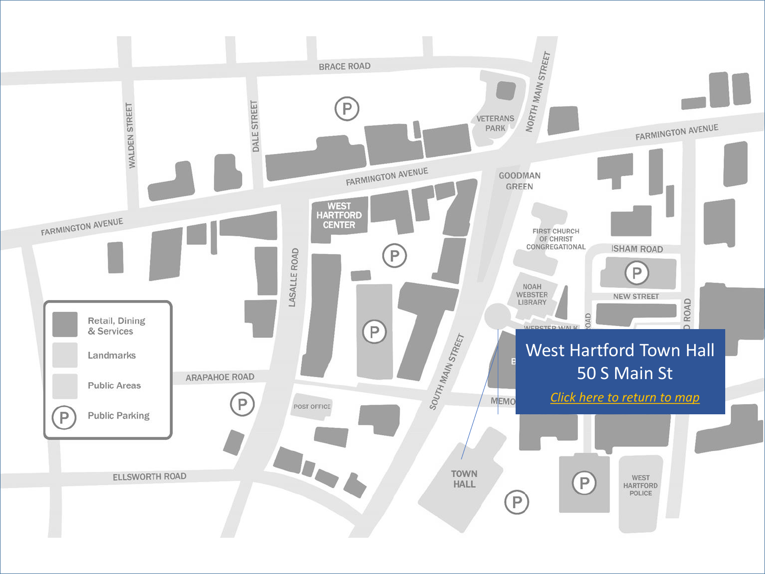<span id="page-9-0"></span>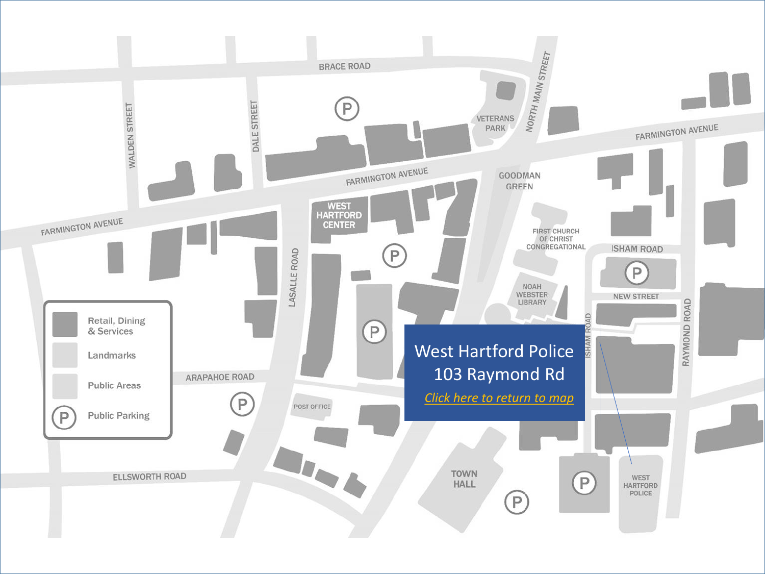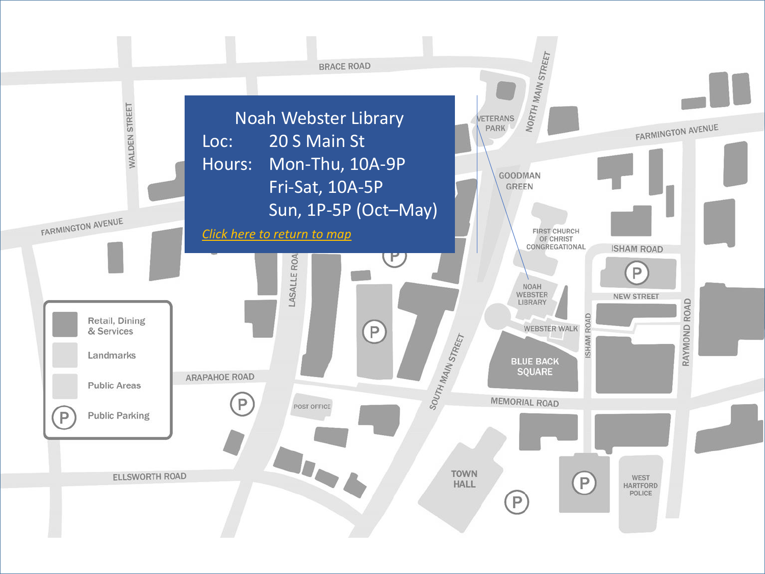<span id="page-11-0"></span>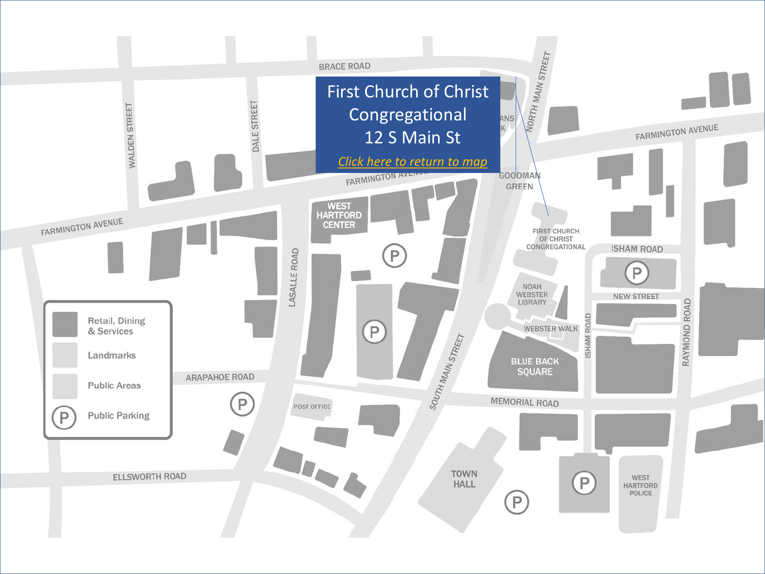<span id="page-12-0"></span>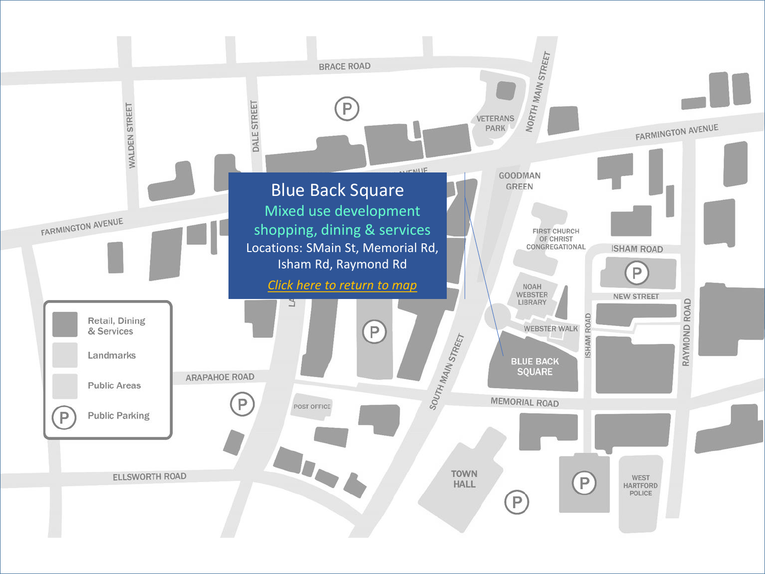<span id="page-13-0"></span>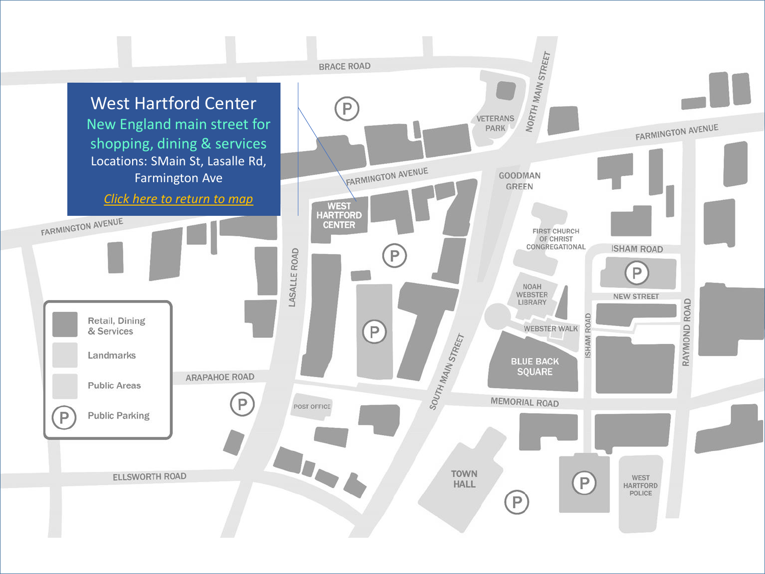<span id="page-14-0"></span>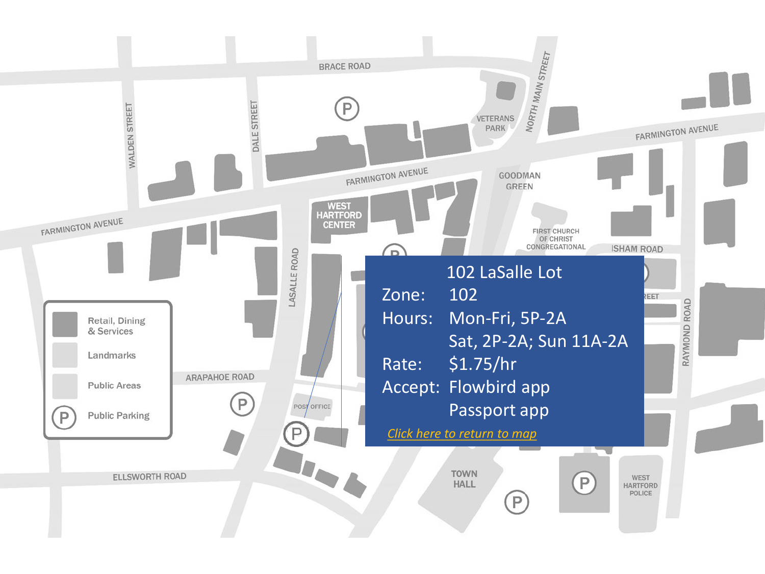